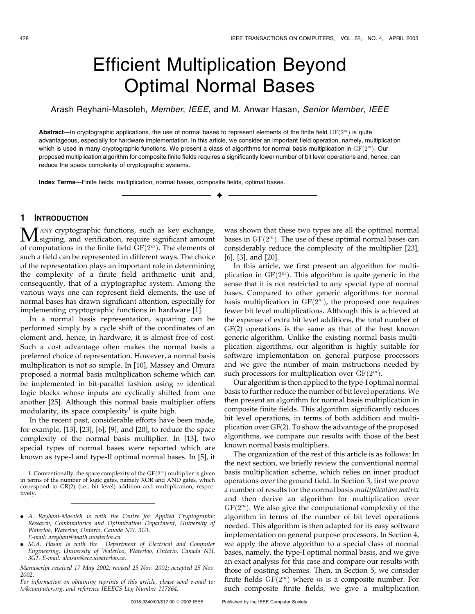# Efficient Multiplication Beyond Optimal Normal Bases

Arash Reyhani-Masoleh, Member, IEEE, and M. Anwar Hasan, Senior Member, IEEE

Abstract—In cryptographic applications, the use of normal bases to represent elements of the finite field  $GF(2^m)$  is quite advantageous, especially for hardware implementation. In this article, we consider an important field operation, namely, multiplication which is used in many cryptographic functions. We present a class of algorithms for normal basis multiplication in  $GF(2^m)$ . Our proposed multiplication algorithm for composite finite fields requires a significantly lower number of bit level operations and, hence, can reduce the space complexity of cryptographic systems.

æ

Index Terms—Finite fields, multiplication, normal bases, composite fields, optimal bases.

# 1 INTRODUCTION

 $\mathbf{M}$  ANY cryptographic functions, such as key exchange,<br>signing, and verification, require significant amount<br>of computations in the finite field  $\alpha$ F(cm). The class of a f of computations in the finite field  $GF(2<sup>m</sup>)$ . The elements of such a field can be represented in different ways. The choice of the representation plays an important role in determining the complexity of a finite field arithmetic unit and, consequently, that of a cryptographic system. Among the various ways one can represent field elements, the use of normal bases has drawn significant attention, especially for implementing cryptographic functions in hardware [1].

In a normal basis representation, squaring can be performed simply by a cycle shift of the coordinates of an element and, hence, in hardware, it is almost free of cost. Such a cost advantage often makes the normal basis a preferred choice of representation. However, a normal basis multiplication is not so simple. In [10], Massey and Omura proposed a normal basis multiplication scheme which can be implemented in bit-parallel fashion using  $m$  identical logic blocks whose inputs are cyclically shifted from one another [25]. Although this normal basis multiplier offers modularity, its space complexity<sup>1</sup> is quite high.

In the recent past, considerable efforts have been made, for example, [13], [23], [6], [9], and [20], to reduce the space complexity of the normal basis multiplier. In [13], two special types of normal bases were reported which are known as type-I and type-II optimal normal bases. In [5], it

1. Conventionally, the space complexity of the  $\mathrm{GF}(2^m)$  multiplier is given in terms of the number of logic gates, namely XOR and AND gates, which correspond to GR(2) (i.e., bit level) addition and multiplication, respectively.

- . A. Rayhani-Masoleh is with the Centre for Applied Cryptographic Research, Combinatorics and Optimization Department, University of Waterloo, Waterloo, Ontario, Canada N2L 3G1. E-mail: areyhani@math.uwaterloo.ca.
- . M.A. Hasan is with the Department of Electrical and Computer Engineering, University of Waterloo, Waterloo, Ontario, Canada N2L 3G1. E-mail: ahasan@ece.uwaterloo.ca.

Manuscript received 17 May 2002; revised 25 Nov. 2002; accepted 25 Nov. 2002.

For information on obtaining reprints of this article, please send e-mail to: tc@computer.org, and reference IEEECS Log Number 117864.

was shown that these two types are all the optimal normal bases in  $GF(2<sup>m</sup>)$ . The use of these optimal normal bases can considerably reduce the complexity of the multiplier [23], [6], [3], and [20].

In this article, we first present an algorithm for multiplication in  $GF(2<sup>m</sup>)$ . This algorithm is quite generic in the sense that it is not restricted to any special type of normal bases. Compared to other generic algorithms for normal basis multiplication in  $GF(2<sup>m</sup>)$ , the proposed one requires fewer bit level multiplications. Although this is achieved at the expense of extra bit level additions, the total number of GF(2) operations is the same as that of the best known generic algorithm. Unlike the existing normal basis multiplication algorithms, our algorithm is highly suitable for software implementation on general purpose processors and we give the number of main instructions needed by such processors for multiplication over  $GF(2<sup>m</sup>)$ .

Our algorithm is then applied to the type-I optimal normal basis to further reduce the number of bit level operations. We then present an algorithm for normal basis multiplication in composite finite fields. This algorithm significantly reduces bit level operations, in terms of both addition and multiplication over GF(2). To show the advantage of the proposed algorithms, we compare our results with those of the best known normal basis multipliers.

The organization of the rest of this article is as follows: In the next section, we briefly review the conventional normal basis multiplication scheme, which relies on inner product operations over the ground field. In Section 3, first we prove a number of results for the normal basis multiplication matrix and then derive an algorithm for multiplication over  $GF(2<sup>m</sup>)$ . We also give the computational complexity of the algorithm in terms of the number of bit level operations needed. This algorithm is then adapted for its easy software implementation on general purpose processors. In Section 4, we apply the above algorithm to a special class of normal bases, namely, the type-I optimal normal basis, and we give an exact analysis for this case and compare our results with those of existing schemes. Then, in Section 5, we consider finite fields  $GF(2<sup>m</sup>)$  where m is a composite number. For such composite finite fields, we give a multiplication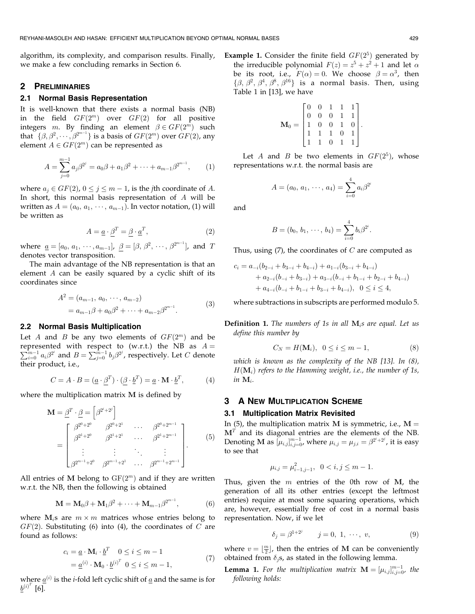algorithm, its complexity, and comparison results. Finally, we make a few concluding remarks in Section 6.

# 2 PRELIMINARIES

# 2.1 Normal Basis Representation

It is well-known that there exists a normal basis (NB) in the field  $GF(2^m)$  over  $GF(2)$  for all positive integers *m*. By finding an element  $\beta \in GF(2^m)$  such that  $\{\beta, \beta^2, \cdots, \beta^{2^{m-1}}\}$  is a basis of  $GF(2^m)$  over  $GF(2)$ , any element  $A \in GF(2^m)$  can be represented as

$$
A = \sum_{j=0}^{m-1} a_j \beta^{2^j} = a_0 \beta + a_1 \beta^2 + \dots + a_{m-1} \beta^{2^{m-1}}, \qquad (1)
$$

where  $a_i \in GF(2)$ ,  $0 \le j \le m - 1$ , is the *j*th coordinate of A. In short, this normal basis representation of A will be written as  $A = (a_0, a_1, \dots, a_{m-1})$ . In vector notation, (1) will be written as

$$
A = \underline{a} \cdot \underline{\beta}^T = \underline{\beta} \cdot \underline{a}^T,\tag{2}
$$

where  $\underline{a} = [a_0, a_1, \cdots, a_{m-1}], \; \beta = [\beta, \beta^2, \cdots, \beta^{2^{m-1}}]$ , and T denotes vector transposition.

The main advantage of the NB representation is that an element A can be easily squared by a cyclic shift of its coordinates since

$$
A^{2} = (a_{m-1}, a_{0}, \cdots, a_{m-2})
$$
  
=  $a_{m-1}\beta + a_{0}\beta^{2} + \cdots + a_{m-2}\beta^{2^{m-1}}.$  (3)

#### 2.2 Normal Basis Multiplication

Let A and B be any two elements of  $GF(2^m)$  and be represented with respect to (w.r.t.) the NB as  $A = \sum_{m=1}^{m} a^{2i}$  and  $B = \sum_{m=1}^{m-1} b^{(2i)}$  reconstructively Let C denote  $\sum_{i=0}^{m-1} a_i \beta^{2^i}$  and  $B = \sum_{j=0}^{m-1} b_j \beta^{2^j}$ , respectively. Let C denote their product, i.e.,

$$
C = A \cdot B = (\underline{a} \cdot \beta^T) \cdot (\beta \cdot \underline{b}^T) = \underline{a} \cdot \mathbf{M} \cdot \underline{b}^T,\tag{4}
$$

where the multiplication matrix M is defined by

$$
\mathbf{M} = \underline{\beta}^{T} \cdot \underline{\beta} = \begin{bmatrix} \beta^{2^{i}+2^{j}} \end{bmatrix}
$$
  
= 
$$
\begin{bmatrix} \beta^{2^{0}+2^{0}} & \beta^{2^{0}+2^{1}} & \cdots & \beta^{2^{0}+2^{m-1}} \\ \beta^{2^{1}+2^{0}} & \beta^{2^{1}+2^{1}} & \cdots & \beta^{2^{1}+2^{m-1}} \\ \vdots & \vdots & \ddots & \vdots \\ \beta^{2^{m-1}+2^{0}} & \beta^{2^{m-1}+2^{1}} & \cdots & \beta^{2^{m-1}+2^{m-1}} \end{bmatrix}.
$$
 (5)

All entries of M belong to  $GF(2<sup>m</sup>)$  and if they are written w.r.t. the NB, then the following is obtained

$$
\mathbf{M} = \mathbf{M}_0 \boldsymbol{\beta} + \mathbf{M}_1 \boldsymbol{\beta}^2 + \dots + \mathbf{M}_{m-1} \boldsymbol{\beta}^{2^{m-1}},
$$
 (6)

where  $M_i$ s are  $m \times m$  matrices whose entries belong to  $GF(2)$ . Substituting (6) into (4), the coordinates of C are found as follows:

$$
c_i = \underline{a} \cdot \mathbf{M}_i \cdot \underline{b}^T \quad 0 \le i \le m - 1
$$
  
= 
$$
\underline{a}^{(i)} \cdot \mathbf{M}_0 \cdot \underline{b}^{(i)^T} \quad 0 \le i \le m - 1,
$$
 (7)

where  $\underline{a}^{(i)}$  is the *i*-fold left cyclic shift of <u>a</u> and the same is for  $\underline{b}^{(i)^{T}}$  [6].

**Example 1.** Consider the finite field  $GF(2^5)$  generated by the irreducible polynomial  $F(z) = z^5 + z^2 + 1$  and let  $\alpha$ be its root, i.e.,  $F(\alpha) = 0$ . We choose  $\beta = \alpha^3$ , then  $\{\beta, \beta^2, \beta^4, \beta^8, \beta^{16}\}\$  is a normal basis. Then, using Table 1 in [13], we have

$$
\mathbf{M}_0 = \begin{bmatrix} 0 & 0 & 1 & 1 & 1 \\ 0 & 0 & 0 & 1 & 1 \\ 1 & 0 & 0 & 1 & 0 \\ 1 & 1 & 1 & 0 & 1 \\ 1 & 1 & 0 & 1 & 1 \end{bmatrix}.
$$

Let A and B be two elements in  $GF(2^5)$ , whose representations w.r.t. the normal basis are

$$
A=(a_0,\,a_1,\,\cdots,\,a_4)=\sum_{i=0}^4a_i\beta^{2^i}
$$

and

$$
B=(b_0,\, b_1,\, \cdots,\, b_4)=\sum_{i=0}^4 b_i \beta^{2^i}.
$$

Thus, using  $(7)$ , the coordinates of C are computed as

$$
c_i = a_{-i}(b_{2-i} + b_{3-i} + b_{4-i}) + a_{1-i}(b_{3-i} + b_{4-i})
$$
  
+  $a_{2-i}(b_{-i} + b_{3-i}) + a_{3-i}(b_{-i} + b_{1-i} + b_{2-i} + b_{4-i})$   
+  $a_{4-i}(b_{-i} + b_{1-i} + b_{3-i} + b_{4-i}), 0 \le i \le 4,$ 

where subtractions in subscripts are performed modulo 5.

**Definition 1.** The numbers of 1s in all  $M_i$ s are equal. Let us define this number by

$$
C_N = H(\mathbf{M}_i), \ \ 0 \le i \le m - 1,\tag{8}
$$

which is known as the complexity of the NB [13]. In (8),  $H(\mathbf{M}_i)$  refers to the Hamming weight, i.e., the number of 1s, in  $M_i$ .

# **3 A NEW MULTIPLICATION SCHEME**

#### 3.1 Multiplication Matrix Revisited

In (5), the multiplication matrix M is symmetric, i.e.,  $M =$  $M<sup>T</sup>$  and its diagonal entries are the elements of the NB. Denoting M as  $[\mu_{i,j}]_{i,j=0}^{m-1}$ , where  $\mu_{i,j}=\mu_{j,i}=\beta^{2^i+2^j}$ , it is easy to see that

$$
\mu_{i,j} = \mu_{i-1,j-1}^2, \ \ 0 < i, j \le m-1.
$$

Thus, given the  $m$  entries of the 0th row of M, the generation of all its other entries (except the leftmost entries) require at most some squaring operations, which are, however, essentially free of cost in a normal basis representation. Now, if we let

$$
\delta_j = \beta^{1+2^j} \qquad j = 0, 1, \cdots, v,
$$
 (9)

where  $v = \lfloor \frac{m}{2} \rfloor$ , then the entries of M can be conveniently obtained from  $\delta_i$ s, as stated in the following lemma.

**Lemma 1.** For the multiplication matrix  $\mathbf{M} = [\mu_{i,j}]_{i,j=0}^{m-1}$ , the following holds: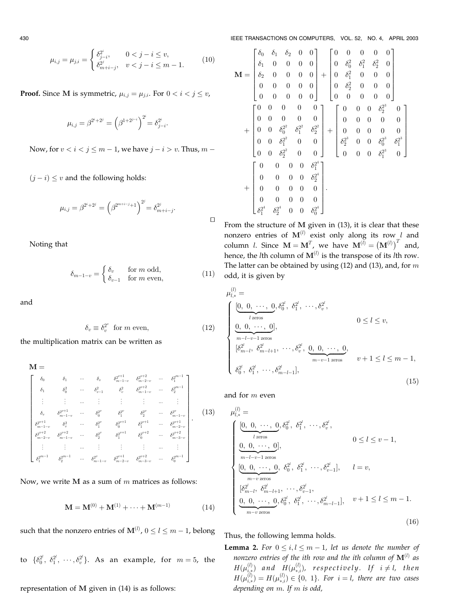$$
\mu_{i,j} = \mu_{j,i} = \begin{cases} \delta_{j-i}^{2^i}, & 0 < j - i \le v, \\ \delta_{m+i-j}^{2^j}, & v < j - i \le m - 1. \end{cases}
$$
 (10)

**Proof.** Since M is symmetric,  $\mu_{i,j} = \mu_{j,i}$ . For  $0 < i < j \le v$ ,

$$
\mu_{i,j} = \beta^{2^i + 2^j} = \left(\beta^{1 + 2^{j-i}}\right)^{2^i} = \delta_{j-i}^{2^i}.
$$

Now, for  $v < i < j \le m - 1$ , we have  $j - i > v$ . Thus,  $m - j$ 

 $(j - i) \leq v$  and the following holds:

$$
\mu_{i,j} = \beta^{2^i + 2^j} = \left(\beta^{2^{m+i-j}+1}\right)^{2^j} = \delta_{m+i-j}^{2^j}.
$$

Noting that

$$
\delta_{m-1-v} = \begin{cases} \delta_v & \text{for } m \text{ odd,} \\ \delta_{v-1} & \text{for } m \text{ even,} \end{cases}
$$
 (11)

and

$$
\delta_v \equiv \delta_v^{2^v} \quad \text{for } m \text{ even}, \tag{12}
$$

the multiplication matrix can be written as

$$
\mathbf{M} = \n\begin{bmatrix}\n\delta_0 & \delta_1 & \cdots & \delta_v & \delta_{m-1-v}^{2^{v+1}} & \delta_{m-2-v}^{2^{v+2}} & \cdots & \delta_1^{2^{m-1}} \\
\delta_1 & \delta_0^2 & \cdots & \delta_{v-1}^2 & \delta_v^2 & \delta_{m-1-v}^{2^{v+2}} & \cdots & \delta_2^{2^{m-1}} \\
\vdots & \vdots & \cdots & \vdots & \vdots & \vdots & \cdots & \vdots \\
\delta_v & \delta_{m-1-v}^{2^{v+1}} & \cdots & \delta_0^{2^v} & \delta_1^{2^v} & \delta_2^{2^v} & \cdots & \delta_{m-1-v}^{2^v} \\
\delta_{m-1-v}^{2^{v+1}} & \delta_v^2 & \cdots & \delta_1^{2^v} & \delta_0^{2^{v+1}} & \delta_1^{2^{v+1}} & \cdots & \delta_{m-2-v}^{2^{v+1}} \\
\delta_{m-2-v}^{2^{v+2}} & \delta_{m-1-v}^{2^{v+2}} & \cdots & \delta_2^{2^v} & \delta_1^{2^{v+1}} & \delta_0^{2^{v+2}} & \cdots & \delta_2^{2^{v+2}} \\
\vdots & \vdots & \cdots & \vdots & \vdots & \vdots & \cdots & \vdots \\
\delta_1^{2^{m-1}} & \delta_2^{2^{m-1}} & \cdots & \delta_{m-1-v}^{2^v} & \delta_{m-2-v}^{2^{v+1}} & \delta_{m-3-v}^{2^{v+2}} & \cdots & \delta_0^{2^{m-1}}\n\end{bmatrix}.
$$
\n(13)

Now, we write  $M$  as a sum of  $m$  matrices as follows:

$$
\mathbf{M} = \mathbf{M}^{(0)} + \mathbf{M}^{(1)} + \dots + \mathbf{M}^{(m-1)} \tag{14}
$$

such that the nonzero entries of  $\mathbf{M}^{(l)}$ ,  $0 \le l \le m - 1$ , belong

to  $\{\delta_0^{2^l}, \ \delta_1^{2^l}, \ \cdots, \delta_v^{2^l}\}.$  As an example, for  $m=5$ , the

representation of M given in (14) is as follows:

430 IEEE TRANSACTIONS ON COMPUTERS, VOL. 52, NO. 4, APRIL 2003

$$
\mathbf{M} = \begin{bmatrix} \delta_0 & \delta_1 & \delta_2 & 0 & 0 \\ \delta_1 & 0 & 0 & 0 & 0 \\ \delta_2 & 0 & 0 & 0 & 0 \\ 0 & 0 & 0 & 0 & 0 \\ 0 & 0 & 0 & 0 & 0 \\ \end{bmatrix} + \begin{bmatrix} 0 & 0 & 0 & 0 & 0 \\ 0 & \delta_0^2 & \delta_1^2 & \delta_2^2 & 0 \\ 0 & \delta_2^2 & 0 & 0 & 0 \\ 0 & 0 & 0 & 0 & 0 \\ 0 & 0 & 0 & 0 & 0 \\ \end{bmatrix}
$$

$$
+ \begin{bmatrix} 0 & 0 & 0 & 0 & 0 \\ 0 & 0 & 0 & 0 & 0 \\ 0 & 0 & \delta_0^2 & \delta_1^2 & \delta_2^2 \\ 0 & 0 & \delta_1^2 & 0 & 0 \\ 0 & 0 & \delta_2^2 & 0 & 0 \\ 0 & 0 & \delta_2^2 & 0 & 0 \\ \end{bmatrix} + \begin{bmatrix} 0 & 0 & 0 & \delta_2^2 & 0 \\ 0 & 0 & 0 & 0 & 0 \\ 0 & 0 & 0 & 0 & 0 \\ \delta_2^3 & 0 & 0 & \delta_0^2 & \delta_1^2 \\ 0 & 0 & 0 & \delta_1^2 & 0 \\ 0 & 0 & 0 & \delta_1^2 & 0 \\ \end{bmatrix} + \begin{bmatrix} 0 & 0 & 0 & 0 & \delta_1^2 \\ \delta_2^3 & 0 & 0 & \delta_0^2 & \delta_1^2 \\ \delta_2^4 & 0 & 0 & \delta_1^2 & 0 \\ 0 & 0 & 0 & 0 & \delta_1^2 & 0 \\ 0 & 0 & 0 & 0 & 0 \\ \delta_2^4 & \delta_2^4 & 0 & 0 & \delta_0^2 & 0 \end{bmatrix}.
$$

From the structure of M given in (13), it is clear that these nonzero entries of  $M^{(l)}$  exist only along its row l and column *l*. Since  $\mathbf{M} = \mathbf{M}^T$ , we have  $\mathbf{M}^{(l)} = (\mathbf{M}^{(l)})^T$  and, hence, the *l*th column of  $M^{(l)}$  is the transpose of its *l*th row. The latter can be obtained by using  $(12)$  and  $(13)$ , and, for m odd, it is given by

$$
\mu_{l,*}^{(l)} = \n\left\{\n\begin{array}{ll}\n[0, 0, \cdots, 0, \delta_0^{2^l}, \delta_1^{2^l}, \cdots, \delta_v^{2^l}, & \\
\frac{0, 0, \cdots, 0}{n-l-v-1} & \text{zeros} & 0 \le l \le v, \\
\frac{0, 0, \cdots, 0}{m-l-v-1} & \text{zeros} & \\
\frac{\delta_0^{2^l}}{\delta_{m-l}^2}, \delta_{m-l+1}^{2^l}, \cdots, \delta_v^{2^l}, \underbrace{0, 0, \cdots, 0}_{m-v-1} & \\
\frac{\delta_0^{2^l}}{\delta_0^{2^l}}, \delta_1^{2^l}, \cdots, \delta_{m-l-1}^{2^l}\n\end{array}\n\right\},\n\tag{15}
$$

and for m even

 $\Box$ 

$$
\mu_{l,*}^{(l)} = \n\begin{cases}\n\underbrace{[0, 0, \cdots, 0}_{l \text{ zeros}}, \delta_0^{2^l}, \delta_1^{2^l}, \cdots, \delta_v^{2^l}, & 0 \le l \le v-1, \\
\underbrace{0, 0, \cdots, 0}_{m-l-v-1 \text{ zeros}}, & 0 \le l \le v-1, \\
\underbrace{[0, 0, \cdots, 0}_{m-v \text{ zeros}}, \delta_0^{2^l}, \delta_1^{2^l}, \cdots, \delta_{v-1}^{2^l}], & l = v, \\
[\delta_{m-l}^{2^l}, \delta_{m-l+1}^{2^l}, \cdots, \delta_{v-1}^{2^l}, & \vdots & \vdots \\
\underbrace{0, 0, \cdots, 0}_{m-v \text{ zeros}}, \delta_0^{2^l}, \delta_1^{2^l}, \cdots, \delta_{m-l-1}^{2^l}\n\end{cases}, \quad v+1 \le l \le m-1.
$$

Thus, the following lemma holds.

**Lemma 2.** For  $0 \le i, l \le m - 1$ , let us denote the number of nonzero entries of the ith row and the ith column of  $\mathbf{M}^{(l)}$  as  $H(\mu_{i,*}^{(l)})$  and  $H(\mu_{*,i}^{(l)}),$  respectively. If  $i\neq l,$  then  $H(\mu_{i, *}^{(l)}) = H(\mu_{*,i}^{(l)}) \in \{0, \; 1\}.$  For  $i = l,$  there are two cases depending on  $m$ . If  $m$  is odd,

 $(16)$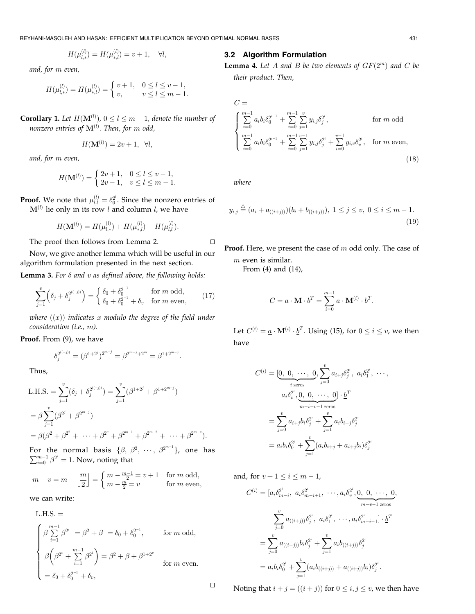REYHANI-MASOLEH AND HASAN: EFFICIENT MULTIPLICATION BEYOND OPTIMAL NORMAL BASES 431

$$
H(\mu_{l,*}^{(l)})=H(\mu_{*,l}^{(l)})=v+1,\quad \forall l,
$$

and, for m even,

$$
H(\mu_{l,*}^{(l)}) = H(\mu_{*,l}^{(l)}) = \begin{cases} v+1, & 0 \le l \le v-1, \\ v, & v \le l \le m-1. \end{cases}
$$

**Corollary 1.** Let  $H(\mathbf{M}^{(l)})$ ,  $0 \le l \le m-1$ , denote the number of nonzero entries of  $\mathbf{M}^{\left(l\right)}$ . Then, for  $m$  odd,

$$
H(\mathbf{M}^{(l)}) = 2v + 1, \ \forall l,
$$

and, for m even,

$$
H(\mathbf{M}^{(l)}) = \begin{cases} 2v+1, & 0 \le l \le v-1, \\ 2v-1, & v \le l \le m-1. \end{cases}
$$

**Proof.** We note that  $\mu_{l,l}^{(l)} = \delta_0^{2^l}$ . Since the nonzero entries of  $M^{(l)}$  lie only in its row l and column l, we have

$$
H(\textbf{M}^{(l)})=H(\mu_{l,\ast}^{(l)})+H(\mu_{\ast,l}^{(l)})-H(\mu_{l,l}^{(l)}).
$$

The proof then follows from Lemma 2.  $\Box$ 

Now, we give another lemma which will be useful in our algorithm formulation presented in the next section.

**Lemma 3.** For  $\delta$  and  $v$  as defined above, the following holds:

$$
\sum_{j=1}^{v} \left( \delta_j + \delta_j^{2^{((-j))}} \right) = \begin{cases} \delta_0 + \delta_0^{2^{-1}} & \text{for } m \text{ odd,} \\ \delta_0 + \delta_0^{2^{-1}} + \delta_v & \text{for } m \text{ even,} \end{cases}
$$
(17)

where  $f(x)$  indicates x modulo the degree of the field under consideration (i.e., m).

Proof. From (9), we have

$$
\delta_j^{2^{((-j))}}=(\beta^{1+2^j})^{2^{m-j}}=\beta^{2^{m-j}+2^m}=\beta^{1+2^{m-j}}.
$$

Thus,

L.H.S. = 
$$
\sum_{j=1}^{v} (\delta_j + \delta_j^{2^{((-j))}}) = \sum_{j=1}^{v} (\beta^{1+2^{j}} + \beta^{1+2^{m-j}})
$$
  
=  $\beta \sum_{j=1}^{v} (\beta^{2^{j}} + \beta^{2^{m-j}})$   
=  $\beta(\beta^2 + \beta^{2^2} + \dots + \beta^{2^v} + \beta^{2^{m-1}} + \beta^{2^{m-2}} + \dots + \beta^{2^{m-v}}).$ 

For the normal basis  $\{\beta, \beta^2, \cdots, \beta^{2^{m-1}}\}$ , one has  $\sum_{i=0}^{m-1} \beta^{2^i} = 1$ . Now, noting that

$$
m - v = m - \left\lfloor \frac{m}{2} \right\rfloor = \begin{cases} m - \frac{m-1}{2} = v + 1 & \text{for } m \text{ odd,} \\ m - \frac{m}{2} = v & \text{for } m \text{ even,} \end{cases}
$$

we can write:

L.H.S. =  
\n
$$
\begin{cases}\n\beta \sum_{i=1}^{m-1} \beta^{2^i} = \beta^2 + \beta = \delta_0 + \delta_0^{2^{-1}}, & \text{for } m \text{ odd}, \\
\beta \left(\beta^{2^v} + \sum_{i=1}^{m-1} \beta^{2^i}\right) = \beta^2 + \beta + \beta^{1+2^v} & \text{for } m \text{ even} \\
= \delta_0 + \delta_0^{2^{-1}} + \delta_v,\n\end{cases}
$$

# 3.2 Algorithm Formulation

**Lemma 4.** Let A and B be two elements of  $GF(2^m)$  and C be their product. Then,

$$
C = \begin{cases} \sum_{i=0}^{m-1} a_i b_i \delta_0^{2^{i-1}} + \sum_{i=0}^{m-1} \sum_{j=1}^v y_{i,j} \delta_j^{2^i}, & \text{for } m \text{ odd} \\ \sum_{i=0}^{m-1} a_i b_i \delta_0^{2^{i-1}} + \sum_{i=0}^{m-1} \sum_{j=1}^{v-1} y_{i,j} \delta_j^{2^i} + \sum_{i=0}^{v-1} y_{i,v} \delta_v^{2^i}, & \text{for } m \text{ even}, \end{cases}
$$
(18)

where

$$
y_{i,j} \stackrel{\triangle}{=} (a_i + a_{((i+j))})(b_i + b_{((i+j))}), \ 1 \le j \le v, \ 0 \le i \le m-1.
$$
\n(19)

Proof. Here, we present the case of m odd only. The case of  $m$  even is similar.

From (4) and (14),

$$
C = \underline{a} \cdot \mathbf{M} \cdot \underline{b}^T = \sum_{i=0}^{m-1} \underline{a} \cdot \mathbf{M}^{(i)} \cdot \underline{b}^T.
$$

Let  $C^{(i)} = \underline{a} \cdot \mathbf{M}^{(i)} \cdot \underline{b}^T$ . Using (15), for  $0 \le i \le v$ , we then have

$$
C^{(i)} = [\underbrace{0, 0, \cdots, 0}_{i \text{ zeros}}, \sum_{j=0}^{v} a_{i+j} \delta_j^{2^i}, a_i \delta_1^{2^i}, \cdots, a_i \delta_v^{2^i}, \underbrace{0, 0, \cdots, 0}_{m-i-v-1 \text{ zeros}}] \cdot \underline{b}^T
$$
  
= 
$$
\sum_{j=0}^{v} a_{i+j} b_i \delta_j^{2^i} + \sum_{j=1}^{v} a_i b_{i+j} \delta_j^{2^i}
$$
  
= 
$$
a_i b_i \delta_0^{2^i} + \sum_{j=1}^{v} (a_i b_{i+j} + a_{i+j} b_i) \delta_j^{2^i}
$$

and, for  $v + 1 \le i \le m - 1$ ,

$$
C^{(i)} = [a_i \delta_{m-i}^{2^i}, a_i \delta_{m-i+1}^{2^i}, \cdots, a_i \delta_v^{2^i}, \underbrace{0, 0, \cdots, 0}_{m-v-1 \text{ zeros}},
$$

$$
\sum_{j=0}^v a_{((i+j))} \delta_j^{2^i}, a_i \delta_1^{2^i}, \cdots, a_i \delta_{m-i-1}^{2^i}] \cdot \underline{b}^T
$$

$$
= \sum_{j=0}^v a_{((i+j))} b_i \delta_j^{2^i} + \sum_{j=1}^v a_i b_{((i+j))} \delta_j^{2^i}
$$

$$
= a_i b_i \delta_0^{2^i} + \sum_{j=1}^v (a_i b_{((i+j))} + a_{((i+j))} b_i) \delta_j^{2^i}.
$$

 $\Box$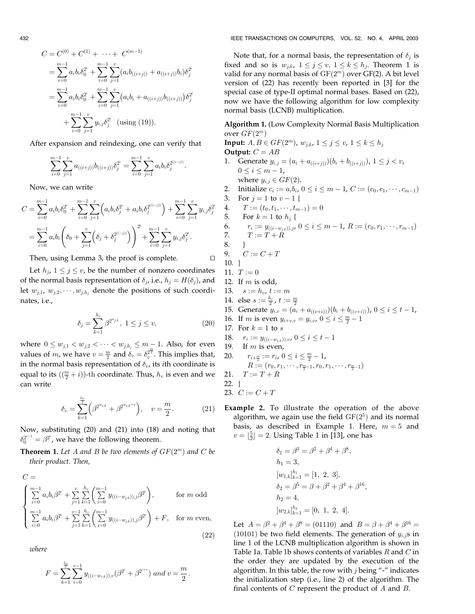$$
C = C^{(0)} + C^{(1)} + \cdots + C^{(m-1)}
$$
  
= 
$$
\sum_{i=0}^{m-1} a_i b_i \delta_0^{2^i} + \sum_{i=0}^{m-1} \sum_{j=1}^v (a_i b_{((i+j))} + a_{((i+j))} b_i) \delta_j^{2^i}
$$
  
= 
$$
\sum_{i=0}^{m-1} a_i b_i \delta_0^{2^i} + \sum_{i=0}^{m-1} \sum_{j=1}^v (a_i b_i + a_{((i+j))} b_{((i+j))}) \delta_j^{2^i}
$$
  
+ 
$$
\sum_{i=0}^{m-1} \sum_{j=1}^v y_{i,j} \delta_j^{2^i} \text{ (using (19)).}
$$

After expansion and reindexing, one can verify that

$$
\sum_{i=0}^{m-1}\sum_{j=1}^v a_{((i+j))}b_{((i+j))}\delta_j^{2^i}=\sum_{i=0}^{m-1}\sum_{j=1}^v a_ib_i\delta_j^{2^{((i-j))}}.
$$

Now, we can write

$$
C = \sum_{i=0}^{m-1} a_i b_i \delta_0^{2^i} + \sum_{i=0}^{m-1} \sum_{j=1}^v \left( a_i b_i \delta_j^{2^i} + a_i b_i \delta_j^{2^{((i-j))}} \right) + \sum_{i=0}^{m-1} \sum_{j=1}^v y_{i,j} \delta_j^{2^i}
$$
  
= 
$$
\sum_{i=0}^{m-1} a_i b_i \left( \delta_0 + \sum_{j=1}^v \left( \delta_j + \delta_j^{2^{((-j))}} \right) \right)^{2^i} + \sum_{i=0}^{m-1} \sum_{j=1}^v y_{i,j} \delta_j^{2^i}.
$$

Then, using Lemma 3, the proof is complete.  $\Box$ 

Let  $h_i$ ,  $1 \leq j \leq v$ , be the number of nonzero coordinates of the normal basis representation of  $\delta_j$ , i.e.,  $h_j = H(\delta_j)$ , and let  $w_{j,1}, w_{j,2}, \dots, w_{j,h_j}$  denote the positions of such coordinates, i.e.,

$$
\delta_j = \sum_{k=1}^{h_j} \beta^{2^{w_{jk}}}, \ 1 \le j \le v,
$$
\n(20)

where  $0 \le w_{j,1} < w_{j,2} < \cdots < w_{j,h_j} \le m-1$ . Also, for even values of *m*, we have  $v = \frac{m}{2}$  and  $\delta_v = \delta_v^{\frac{m}{2}}$ . This implies that, in the normal basis representation of  $\delta_v$ , its *i*th coordinate is equal to its  $\left(\left(\frac{m}{2}+i\right)\right)$ -th coordinate. Thus,  $h_v$  is even and we can write

$$
\delta_v = \sum_{k=1}^{\frac{h_v}{2}} \left( \beta^{2^{w_{v,k}}} + \beta^{2^{w_{v,k}+v}} \right), \quad v = \frac{m}{2}.
$$
 (21)

Now, substituting (20) and (21) into (18) and noting that  $\delta_0^{2^{i-1}} = \beta^{2^i}$ , we have the following theorem.

**Theorem 1.** Let A and B be two elements of  $GF(2^m)$  and C be their product. Then,

$$
C = \begin{cases} \sum_{i=0}^{m-1} a_i b_i \beta^{2^i} + \sum_{j=1}^{v} \sum_{k=1}^{h_j} \left( \sum_{i=0}^{m-1} y_{((i-w_{jk})),j} \beta^{2^i} \right), & \text{for } m \text{ odd} \\ \sum_{i=0}^{m-1} a_i b_i \beta^{2^i} + \sum_{j=1}^{v-1} \sum_{k=1}^{h_j} \left( \sum_{i=0}^{m-1} y_{((i-w_{jk})),j} \beta^{2^i} \right) + F, & \text{for } m \text{ even}, \end{cases}
$$
(22)

where

$$
F=\sum_{k=1}^{\frac{h_v}{2}}\sum_{i=0}^{v-1}y_{((i-w_{v,k})),v}(\beta^{2^i}+\beta^{2^{i+v}}) \ and \ v=\frac{m}{2}.
$$

Note that, for a normal basis, the representation of  $\delta_i$  is fixed and so is  $w_{i,k}$ ,  $1 \leq j \leq v$ ,  $1 \leq k \leq h_i$ . Theorem 1 is valid for any normal basis of  $GF(2<sup>m</sup>)$  over GF(2). A bit level version of (22) has recently been reported in [3] for the special case of type-II optimal normal bases. Based on (22), now we have the following algorithm for low complexity normal basis (LCNB) multiplication.

Algorithm 1. (Low Complexity Normal Basis Multiplication over  $GF(2^m)$ 

**Input:**  $A, B \in GF(2^m)$ ,  $w_{j,k}$ ,  $1 \le j \le v$ ,  $1 \le k \le h_j$ Output:  $C = AB$ 1. Generate  $y_{i,j} = (a_i + a_{((i+j))})(b_i + b_{((i+j))})$ ,  $1 \leq j < v$ ,  $0 \leq i \leq m-1$ , where  $y_{i,j} \in GF(2)$ . 2. Initialize  $c_i := a_i b_i$ ,  $0 \le i \le m - 1$ ,  $C := (c_0, c_1, \dots, c_{m-1})$ 3. For  $i = 1$  to  $v - 1$  { 4.  $T := (t_0, t_1, \dots, t_{m-1}) = 0$ 5. For  $k = 1$  to  $h_i$  { 6.  $r_i := y_{((i-w_{j,k})),j}, 0 \le i \le m-1, R := (r_0, r_1, \dots, r_{m-1})$ <br>7.  $T := T + R$  $T := T + R$ 8. } 9.  $C := C + T$ 10. } 11.  $T := 0$ 12. If  $m$  is odd, 13.  $s := h_v, t := m$ 14. else  $s := \frac{h_v}{2}$ ,  $t := \frac{m}{2}$ 15. Generate  $y_{i,v} = (a_i + a_{((v+i))})(b_i + b_{((v+i))})$ ,  $0 \le i \le t-1$ , 16. If *m* is even  $y_{i+v,v} = y_{i,v}$ ,  $0 \le i \le \frac{m}{2} - 1$ 17. For  $k = 1$  to s 18.  $r_i := y_{((i-w_{v,k})), v}$ ,  $0 \le i \le t - 1$ <br>19. If *m* is even, If  $m$  is even, 20.  $r_{i+\frac{m}{2}} := r_i, 0 \leq i \leq \frac{m}{2} - 1,$  $R:=(r_0,r_1,\cdots,r_{\frac{m}{2}-1},r_0,r_1,\cdots,r_{\frac{m}{2}-1})$ 21.  $T := T + R$ 22. } 23.  $C := C + T$ 

Example 2. To illustrate the operation of the above algorithm, we again use the field  $GF(2^5)$  and its normal basis, as described in Example 1. Here,  $m = 5$  and  $v = \lfloor \frac{5}{2} \rfloor = 2$ . Using Table 1 in [13], one has

$$
\delta_1 = \beta^3 = \beta^2 + \beta^4 + \beta^8,
$$
  
\n
$$
h_1 = 3,
$$
  
\n
$$
[w_{1,k}]_{k=1}^{h_1} = [1, 2, 3],
$$
  
\n
$$
\delta_2 = \beta^5 = \beta + \beta^2 + \beta^4 + \beta^{16},
$$
  
\n
$$
h_2 = 4,
$$
  
\n
$$
[w_{2,k}]_{k=1}^{h_2} = [0, 1, 2, 4].
$$

Let  $A = \beta^2 + \beta^4 + \beta^8 = (01110)$  and  $B = \beta + \beta^4 + \beta^{16} =$  $(10101)$  be two field elements. The generation of  $y_{i,j}$ s in line 1 of the LCNB multiplication algorithm is shown in Table 1a. Table 1b shows contents of variables  $R$  and  $C$  in the order they are updated by the execution of the algorithm. In this table, the row with  $j$  being "-" indicates the initialization step (i.e., line 2) of the algorithm. The final contents of  $C$  represent the product of  $A$  and  $B$ .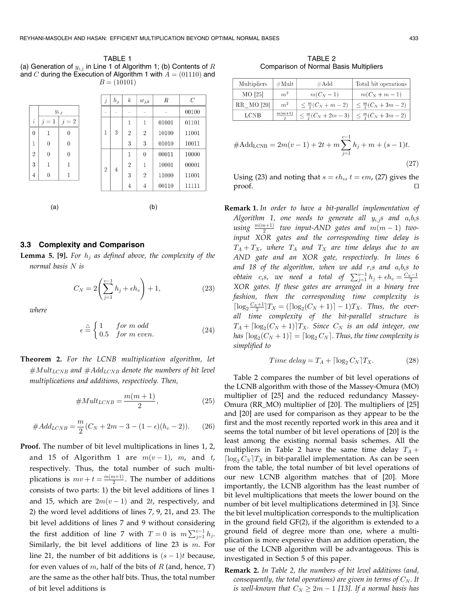TABLE 1 (a) Generation of  $y_{i,j}$  in Line 1 of Algorithm 1; (b) Contents of R and C during the Execution of Algorithm 1 with  $A = (01110)$  and  $B = (10101)$ 

|                |                |                  |        | $\boldsymbol{j}$ | $h_j$ | $\boldsymbol{k}$ | $w_{j,k}$      | R     | $\overline{C}$                            |
|----------------|----------------|------------------|--------|------------------|-------|------------------|----------------|-------|-------------------------------------------|
|                | $y_{i,j}$      |                  | $\sim$ |                  |       |                  |                | 00100 |                                           |
| $\dot{i}$      | $j=1$          | $=2$<br>$\jmath$ |        |                  |       | $\mathbf{1}$     | 1              | 01001 | 01101                                     |
| $\theta$       | $\mathbf{1}$   | $\theta$         |        | 1                | 3     | $\overline{2}$   | $\overline{2}$ | 10100 | 11001<br>01010<br>10011<br>10000<br>00011 |
| 1              | $\overline{0}$ | $\theta$         |        |                  |       | 3                | 3              |       |                                           |
| $\overline{2}$ | $\theta$       | $\theta$         |        | 2                |       | 1                | $\theta$       |       |                                           |
| 3              | 1              | 1                |        |                  | 4     | $\overline{2}$   | 1              | 10001 | 00001                                     |
| 4              | $\theta$       | $\mathbf 1$      |        |                  |       | 3                | $\overline{2}$ | 11000 | 11001                                     |
|                |                |                  |        |                  |       | $\overline{4}$   | 4              | 00110 | 11111                                     |
|                |                |                  |        |                  |       |                  |                |       |                                           |
| (a)            |                |                  | (b)    |                  |       |                  |                |       |                                           |

#### 3.3 Complexity and Comparison

**Lemma 5. [9].** For  $h_j$  as defined above, the complexity of the normal basis N is

$$
C_N = 2\left(\sum_{j=1}^{v-1} h_j + \epsilon h_v\right) + 1,\tag{23}
$$

where

$$
\epsilon \stackrel{\triangle}{=} \begin{cases} 1 & \text{for } m \text{ odd} \\ 0.5 & \text{for } m \text{ even.} \end{cases} \tag{24}
$$

Theorem 2. For the LCNB multiplication algorithm, let  $#Mult_{LCNB}$  and  $#Add_{LCNB}$  denote the numbers of bit level multiplications and additions, respectively. Then,

#MultLCNB <sup>¼</sup> <sup>m</sup>ð<sup>m</sup> <sup>þ</sup> <sup>1</sup><sup>Þ</sup> <sup>2</sup> ; <sup>ð</sup>25<sup>Þ</sup>

$$
#Add_{LCNB} = \frac{m}{2}(C_N + 2m - 3 - (1 - \epsilon)(h_v - 2)).
$$
 (26)

Proof. The number of bit level multiplications in lines 1, 2, and 15 of Algorithm 1 are  $m(v-1)$ , m, and t, respectively. Thus, the total number of such multiplications is  $mv + t = \frac{m(m+1)}{2}$ . The number of additions consists of two parts: 1) the bit level additions of lines 1 and 15, which are  $2m(v - 1)$  and  $2t$ , respectively, and 2) the word level additions of lines 7, 9, 21, and 23. The bit level additions of lines 7 and 9 without considering the first addition of line 7 with  $T = 0$  is  $m \sum_{j=1}^{v-1} h_j$ . Similarly, the bit level additions of line 23 is  $m$ . For line 21, the number of bit additions is  $(s - 1)t$  because, for even values of  $m$ , half of the bits of  $R$  (and, hence,  $T$ ) are the same as the other half bits. Thus, the total number of bit level additions is

TABLE 2 Comparison of Normal Basis Multipliers

| Multipliers<br>$\#\mathrm{Mult}$ |                | $\#Add$                         | Total bit operations                                              |  |  |
|----------------------------------|----------------|---------------------------------|-------------------------------------------------------------------|--|--|
| MO [25]                          | m <sup>2</sup> | $m(C_N-1)$                      | $m(C_N + m - 1)$                                                  |  |  |
| RR MO [20]                       | m <sup>2</sup> | $\leq \frac{m}{2}(C_N + m - 2)$ | $\leq \frac{m}{2}(C_N + 3m - 2)$                                  |  |  |
| <b>LCNB</b>                      | $m(m+1)$       |                                 | $\leq \frac{m}{2}(C_N + 2m - 3)$ $\leq \frac{m}{2}(C_N + 3m - 2)$ |  |  |

$$
#Add_{LCNB} = 2m(v-1) + 2t + m\sum_{j=1}^{v-1} h_j + m + (s-1)t.
$$
\n(27)

Using (23) and noting that  $s = \epsilon h_v$ ,  $t = \epsilon m$ , (27) gives the proof.  $\hfill\Box$ 

Remark 1. In order to have a bit-parallel implementation of Algorithm 1, one needs to generate all  $y_{i,j}$ s and  $a_i b_i s$ using  $\frac{m(m+1)}{2}$  two input-AND gates and  $m(m-1)$  twoinput XOR gates and the corresponding time delay is  $T_A + T_X$ , where  $T_A$  and  $T_X$  are time delays due to an AND gate and an XOR gate, respectively. In lines 6 and 18 of the algorithm, when we add  $r_i$ s and  $a_i b_i$ s to obtain  $c_i$ s, we need a total of  $\sum_{j=1}^{v-1} h_j + \epsilon h_v = \frac{c_{N-1}}{2}$ <br>XOR gates. If these gates are arranged in a binary tree fashion, then the corresponding time complexity is  $\lceil \log_2 \frac{C_N + 1}{2} \rceil T_X = (\lceil \log_2 (C_N + 1) \rceil - 1) T_X$ . Thus, the overall time complexity of the bit-parallel structure is  $T_A + \left[ \log_2(C_N + 1) \right] T_X$ . Since  $C_N$  is an odd integer, one has  $\lceil \log_2(C_N + 1) \rceil = \lceil \log_2 C_N \rceil$ . Thus, the time complexity is simplified to

$$
Time \ delay = T_A + \lceil \log_2 C_N \rceil T_X. \tag{28}
$$

Table 2 compares the number of bit level operations of the LCNB algorithm with those of the Massey-Omura (MO) multiplier of [25] and the reduced redundancy Massey-Omura (RR\_MO) multiplier of [20]. The multipliers of [25] and [20] are used for comparison as they appear to be the first and the most recently reported work in this area and it seems the total number of bit level operations of [20] is the least among the existing normal basis schemes. All the multipliers in Table 2 have the same time delay  $T_A$  +  $\lceil \log_2 C_N \rceil T_X$  in bit-parallel implementation. As can be seen from the table, the total number of bit level operations of our new LCNB algorithm matches that of [20]. More importantly, the LCNB algorithm has the least number of bit level multiplications that meets the lower bound on the number of bit level multiplications determined in [3]. Since the bit level multiplication corresponds to the multiplication in the ground field GF(2), if the algorithm is extended to a ground field of degree more than one, where a multiplication is more expensive than an addition operation, the use of the LCNB algorithm will be advantageous. This is investigated in Section 5 of this paper.

Remark 2. In Table 2, the numbers of bit level additions (and, consequently, the total operations) are given in terms of  $C_N$ . It is well-known that  $C_N \geq 2m - 1$  [13]. If a normal basis has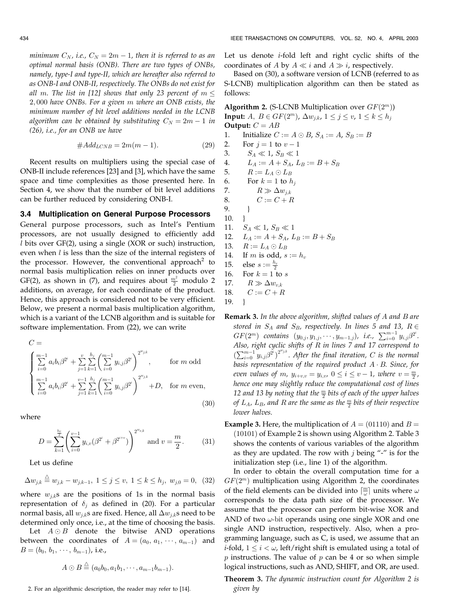minimum  $C_N$ , i.e.,  $C_N = 2m - 1$ , then it is referred to as an optimal normal basis (ONB). There are two types of ONBs, namely, type-I and type-II, which are hereafter also referred to as ONB-I and ONB-II, respectively. The ONBs do not exist for all m. The list in [12] shows that only 23 percent of  $m \leq$ 2; 000 have ONBs. For a given m where an ONB exists, the minimum number of bit level additions needed in the LCNB algorithm can be obtained by substituting  $C_N = 2m - 1$  in (26), i.e., for an ONB we have

$$
\#Add_{LCNB} = 2m(m-1). \tag{29}
$$

Recent results on multipliers using the special case of ONB-II include references [23] and [3], which have the same space and time complexities as those presented here. In Section 4, we show that the number of bit level additions can be further reduced by considering ONB-I.

#### 3.4 Multiplication on General Purpose Processors

General purpose processors, such as Intel's Pentium processors, are not usually designed to efficiently add l bits over GF(2), using a single (XOR or such) instruction, even when  $l$  is less than the size of the internal registers of the processor. However, the conventional approach<sup>2</sup> to normal basis multiplication relies on inner products over GF(2), as shown in (7), and requires about  $\frac{m^2}{2}$  modulo 2 additions, on average, for each coordinate of the product. Hence, this approach is considered not to be very efficient. Below, we present a normal basis multiplication algorithm, which is a variant of the LCNB algorithm and is suitable for software implementation. From (22), we can write

$$
C = \begin{cases} \sum_{i=0}^{m-1} a_i b_i \beta^{2^i} + \sum_{j=1}^{v} \sum_{k=1}^{h_j} \left( \sum_{i=0}^{m-1} y_{i,j} \beta^{2^i} \right)^{2^{w_{j,k}}} , & \text{for } m \text{ odd} \\ \sum_{i=0}^{m-1} a_i b_i \beta^{2^i} + \sum_{j=1}^{v-1} \sum_{k=1}^{h_j} \left( \sum_{i=0}^{m-1} y_{i,j} \beta^{2^i} \right)^{2^{w_{j,k}}} + D, & \text{for } m \text{ even}, \end{cases}
$$
(30)

where

$$
D = \sum_{k=1}^{\frac{h_v}{2}} \left( \sum_{i=0}^{v-1} y_{i,v} (\beta^{2^i} + \beta^{2^{i+v}}) \right)^{2^{w_{v,k}}} \text{ and } v = \frac{m}{2}.
$$
 (31)

Let us define

$$
\Delta w_{j,k} \stackrel{\triangle}{=} w_{j,k} - w_{j,k-1}, \ 1 \le j \le v, \ 1 \le k \le h_j, \ w_{j,0} = 0, \ (32)
$$

where  $w_{j,k}$  are the positions of 1s in the normal basis representation of  $\delta_i$  as defined in (20). For a particular normal basis, all  $w_{i,k}$ s are fixed. Hence, all  $\Delta w_{i,k}$ s need to be determined only once, i.e., at the time of choosing the basis.

Let  $A \odot B$  denote the bitwise AND operations between the coordinates of  $A = (a_0, a_1, \dots, a_{m-1})$  and  $B = (b_0, b_1, \cdots, b_{m-1})$ , i.e.,

$$
A\odot B\stackrel{\triangle}{=} (a_0b_0,a_1b_1,\cdots,a_{m-1}b_{m-1}).
$$

2. For an algorithmic description, the reader may refer to [14].

Let us denote i-fold left and right cyclic shifts of the coordinates of A by  $A \ll i$  and  $A \gg i$ , respectively.

Based on (30), a software version of LCNB (referred to as S-LCNB) multiplication algorithm can then be stated as follows:

Algorithm 2. (S-LCNB Multiplication over  $GF(2<sup>m</sup>)$ ) **Input:**  $A, B \in GF(2^m)$ ,  $\Delta w_{ik}$ ,  $1 \leq j \leq v$ ,  $1 \leq k \leq h_j$ Output:  $C = AB$ 1. Initialize  $C := A \odot B$ ,  $S_A := A$ ,  $S_B := B$ 2. For  $j = 1$  to  $v - 1$ 3.  $S_A \ll 1, S_B \ll 1$ 4.  $L_A := A + S_A$ ,  $L_B := B + S_B$ 5.  $R := L_A \odot L_B$ 6. For  $k = 1$  to  $h_i$ 7.  $R \gg \Delta w_{j,k}$ 8.  $C := C + R$ 9. } 10. } 11.  $S_A \ll 1, S_B \ll 1$ 12.  $L_A := A + S_A$ ,  $L_B := B + S_B$ 13.  $R := L_A \odot L_B$ 14. If m is odd,  $s := h_v$ 15. else  $s := \frac{h_v}{2}$ 16. For  $k = 1$  to s 17.  $R \gg \Delta w_{v,k}$ 18.  $C := C + R$ 19. }

**Remark 3.** In the above algorithm, shifted values of A and B are stored in  $S_A$  and  $S_B$ , respectively. In lines 5 and 13,  $R \in$ GF(2<sup>m</sup>) contains  $(y_{0,j}, y_{1,j}, \dots, y_{m-1,j})$ , i.e.,  $\sum_{i=0}^{m-1} y_{i,j} \beta^{2^i}$ . Also, right cyclic shifts of  $R$  in lines 7 and 17 correspond to  $\sum_{i=0}^{m-1} y_{i,j} \beta^{2^i}$ )<sup>2";k</sup>. After the final iteration, C is the normal basis representation of the required product  $A \cdot B$ . Since, for even values of m,  $y_{i+v,v} = y_{i,v}$ ,  $0 \le i \le v-1$ , where  $v = \frac{m}{2}$ , hence one may slightly reduce the computational cost of lines 12 and 13 by noting that the  $\frac{m}{2}$  bits of each of the upper halves of  $L_A$ ,  $L_B$ , and  $R$  are the same as the  $\frac{m}{2}$  bits of their respective lower halves

**Example 3.** Here, the multiplication of  $A = (01110)$  and  $B =$  $(10101)$  of Example 2 is shown using Algorithm 2. Table 3 shows the contents of various variables of the algorithm as they are updated. The row with  $j$  being "-" is for the initialization step (i.e., line 1) of the algorithm.

In order to obtain the overall computation time for a  $GF(2<sup>m</sup>)$  multiplication using Algorithm 2, the coordinates of the field elements can be divided into  $\lceil \frac{m}{\omega} \rceil$  units where  $\omega$ corresponds to the data path size of the processor. We assume that the processor can perform bit-wise XOR and AND of two  $\omega$ -bit operands using one single XOR and one single AND instruction, respectively. Also, when a programming language, such as C, is used, we assume that an *i*-fold,  $1 \le i \le \omega$ , left/right shift is emulated using a total of  $p$  instructions. The value of  $p$  can be 4 or so when simple logical instructions, such as AND, SHIFT, and OR, are used.

Theorem 3. The dynamic instruction count for Algorithm 2 is given by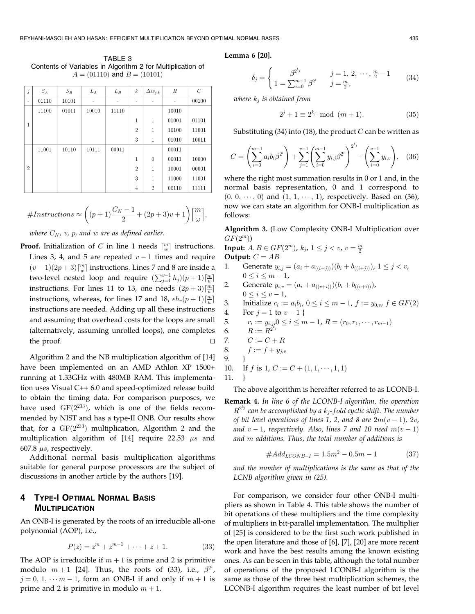TABLE 3 Contents of Variables in Algorithm 2 for Multiplication of  $A = (01110)$  and  $B = (10101)$ 

| $\boldsymbol{j}$ | $S_A$ | $S_B$ | $L_A$ | $L_B$ | k              | $\Delta w_{j,k}$ | $\boldsymbol{R}$ | $\mathcal{C}$ |
|------------------|-------|-------|-------|-------|----------------|------------------|------------------|---------------|
| ۰                | 01110 | 10101 |       |       | -              | -                |                  | 00100         |
|                  | 11100 | 01011 | 10010 | 11110 |                |                  | 10010            |               |
| 1                |       |       |       |       | 1              | 1                | 01001            | 01101         |
|                  |       |       |       |       | $\overline{2}$ | 1                | 10100            | 11001         |
|                  |       |       |       |       | 3              | 1                | 01010            | 10011         |
|                  | 11001 | 10110 | 10111 | 00011 |                |                  | 00011            |               |
|                  |       |       |       |       | 1              | $\bf{0}$         | 00011            | 10000         |
| $\overline{2}$   |       |       |       |       | $\overline{2}$ | 1                | 10001            | 00001         |
|                  |       |       |       |       | 3              | 1                | 11000            | 11001         |
|                  |       |       |       |       | $\overline{4}$ | $\overline{2}$   | 00110            | 11111         |

#Instructions ðp þ 1Þ CN ÿ 1 <sup>2</sup> þ ð2<sup>p</sup> <sup>þ</sup> <sup>3</sup>Þ<sup>v</sup> <sup>þ</sup> <sup>1</sup> <sup>m</sup> ! l m;

where  $C_N$ , v, p, and w are as defined earlier.

**Proof.** Initialization of C in line 1 needs  $\lceil \frac{m}{w} \rceil$  instructions. Lines 3, 4, and 5 are repeated  $v - 1$  times and require  $(v-1)(2p+3)\lceil \frac{m}{w}\rceil$  instructions. Lines 7 and 8 are inside a two-level nested loop and require  $(\sum_{j=1}^{v-1} h_j)(p+1) \lceil \frac{m}{w} \rceil$ instructions. For lines 11 to 13, one needs  $(2p+3)\lceil \frac{m}{w} \rceil$ instructions, whereas, for lines 17 and 18,  $\epsilon h_v(p+1)\lceil \frac{m}{w} \rceil$ instructions are needed. Adding up all these instructions and assuming that overhead costs for the loops are small (alternatively, assuming unrolled loops), one completes the proof.  $\Box$ 

Algorithm 2 and the NB multiplication algorithm of [14] have been implemented on an AMD Athlon XP 1500+ running at 1.33GHz with 480MB RAM. This implementation uses Visual C++ 6.0 and speed-optimized release build to obtain the timing data. For comparison purposes, we have used  $GF(2^{233})$ , which is one of the fields recommended by NIST and has a type-II ONB. Our results show that, for a  $GF(2^{233})$  multiplication, Algorithm 2 and the multiplication algorithm of [14] require 22.53  $\mu s$  and 607.8  $\mu s$ , respectively.

Additional normal basis multiplication algorithms suitable for general purpose processors are the subject of discussions in another article by the authors [19].

# 4 TYPE-I OPTIMAL NORMAL BASIS **MULTIPLICATION**

An ONB-I is generated by the roots of an irreducible all-one polynomial (AOP), i.e.,

$$
P(z) = zm + zm-1 + \dots + z + 1.
$$
 (33)

The AOP is irreducible if  $m + 1$  is prime and 2 is primitive modulo  $m+1$  [24]. Thus, the roots of (33), i.e.,  $\beta^{2^j}$ ,  $j = 0, 1, \dots m - 1$ , form an ONB-I if and only if  $m + 1$  is prime and 2 is primitive in modulo  $m + 1$ .

Lemma 6 [20].

$$
\delta_j = \begin{cases}\n\beta^{2^{k_j}} & j = 1, 2, \dots, \frac{m}{2} - 1 \\
1 = \sum_{i=0}^{m-1} \beta^{2^i} & j = \frac{m}{2},\n\end{cases}
$$
\n(34)

where  $k_i$  is obtained from

$$
2^{j} + 1 \equiv 2^{k_j} \mod (m+1). \tag{35}
$$

Substituting (34) into (18), the product  $C$  can be written as

$$
C = \left(\sum_{i=0}^{m-1} a_i b_i \beta^{2^i}\right) + \sum_{j=1}^{v-1} \left(\sum_{i=0}^{m-1} y_{i,j} \beta^{2^i}\right)^{2^{kj}} + \left(\sum_{i=0}^{v-1} y_{i,v}\right), \quad (36)
$$

where the right most summation results in 0 or 1 and, in the normal basis representation, 0 and 1 correspond to  $(0, 0, \dots, 0)$  and  $(1, 1, \dots, 1)$ , respectively. Based on (36), now we can state an algorithm for ONB-I multiplication as follows:

Algorithm 3. (Low Complexity ONB-I Multiplication over  $GF(2^m))$ 

Input:  $A, B \in GF(2^m)$ ,  $k_j$ ,  $1 \le j < v$ ,  $v = \frac{m}{2}$ Output:  $C = AB$ 

\n- 1. Generate 
$$
y_{i,j} = (a_i + a_{((i+j))})(b_i + b_{((i+j))})
$$
,  $1 \leq j < v$ ,  $0 \leq i \leq m-1$ ,
\n- 2. Generate  $y_{i,v} = (a_i + a_{((v+i))})(b_i + b_{((v+i))})$ ,  $0 \leq i \leq v-1$ ,
\n

3. Initialize 
$$
c_i := a_i b_i
$$
,  $0 \le i \le m - 1$ ,  $f := y_{0,v}$ ,  $f \in GF(2)$ 

4. For  $j = 1$  to  $v - 1$  { 5.  $r_i := y_{i,j}$ ,  $0 \le i \le m - 1$ ,  $R = (r_0, r_1, \dots, r_{m-1})$ 6.  $R := R^{\tilde{2}^k j}$ 7.  $C := C + R$ 8.  $f := f + y_{j,v}$ 9. } 10. If f is 1,  $C := C + (1, 1, \dots, 1, 1)$ 

11. }

The above algorithm is hereafter referred to as LCONB-I.

Remark 4. In line 6 of the LCONB-I algorithm, the operation  $R^{2^{kj}}$  can be accomplished by a  $k_j$ -fold cyclic shift. The number of bit level operations of lines 1, 2, and 8 are  $2m(v - 1)$ , 2v, and  $v - 1$ , respectively. Also, lines 7 and 10 need  $m(v - 1)$ and m additions. Thus, the total number of additions is

$$
#Add_{LCONB-I} = 1.5m^2 - 0.5m - 1
$$
 (37)

and the number of multiplications is the same as that of the LCNB algorithm given in (25).

For comparison, we consider four other ONB-I multipliers as shown in Table 4. This table shows the number of bit operations of these multipliers and the time complexity of multipliers in bit-parallel implementation. The multiplier of [25] is considered to be the first such work published in the open literature and those of [6], [7], [20] are more recent work and have the best results among the known existing ones. As can be seen in this table, although the total number of operations of the proposed LCONB-I algorithm is the same as those of the three best multiplication schemes, the LCONB-I algorithm requires the least number of bit level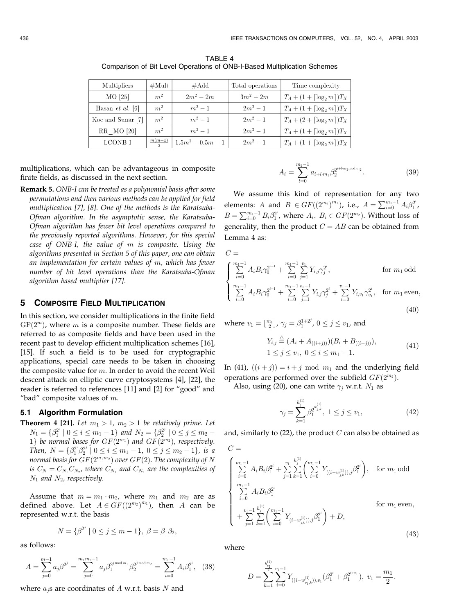Comparison of Bit Level Operations of ONB-I-Based Multiplication Schemes

TABLE 4

| Multipliers             | $\#\mathrm{Mult}$             | $\#Add$             | Total operations | Time complexity                          |
|-------------------------|-------------------------------|---------------------|------------------|------------------------------------------|
| MO [25]                 | m <sup>2</sup><br>$2m^2 - 2m$ |                     | $3m^2 - 2m$      | $T_A + (1 + \lceil \log_2 m \rceil) T_X$ |
| Hasan <i>et al.</i> [6] | m <sup>2</sup>                | $m^2-1$             | $2m^2 - 1$       | $T_A + (1 + \lceil \log_2 m \rceil) T_X$ |
| Koc and Sunar [7]       | m <sup>2</sup>                | $m^2-1$             | $2m^2 - 1$       | $T_A + (2 + \lceil \log_2 m \rceil) T_X$ |
| RR MO [20]              | m <sup>2</sup>                | $m^2-1$             | $2m^2 - 1$       | $T_A + (1 + \lceil \log_2 m \rceil) T_X$ |
| LCONB-I                 | $\frac{m(m+1)}{2}$            | $1.5m^2 - 0.5m - 1$ | $2m^2 - 1$       | $T_A + (1 + \lceil \log_2 m \rceil) T_X$ |

multiplications, which can be advantageous in composite finite fields, as discussed in the next section.

Remark 5. ONB-I can be treated as a polynomial basis after some permutations and then various methods can be applied for field multiplication [7], [8]. One of the methods is the Karatsuba-Ofman algorithm. In the asymptotic sense, the Karatsuba-Ofman algorithm has fewer bit level operations compared to the previously reported algorithms. However, for this special case of ONB-I, the value of m is composite. Using the algorithms presented in Section 5 of this paper, one can obtain an implementation for certain values of m, which has fewer number of bit level operations than the Karatsuba-Ofman algorithm based multiplier [17].

# 5 COMPOSITE FIELD MULTIPLICATION

In this section, we consider multiplications in the finite field  $GF(2<sup>m</sup>)$ , where m is a composite number. These fields are referred to as composite fields and have been used in the recent past to develop efficient multiplication schemes [16], [15]. If such a field is to be used for cryptographic applications, special care needs to be taken in choosing the composite value for  $m$ . In order to avoid the recent Weil descent attack on elliptic curve cryptosystems [4], [22], the reader is referred to references [11] and [2] for "good" and "bad" composite values of  $m$ .

# 5.1 Algorithm Formulation

**Theorem 4 [21].** Let  $m_1 > 1$ ,  $m_2 > 1$  be relatively prime. Let  $N_1 = \{\beta_1^{2^i} \mid 0 \le i \le m_1 - 1\}$  and  $N_2 = \{\beta_2^{2^j} \mid 0 \le j \le m_2 - 1\}$ 1} be normal bases for  $GF(2^{m_1})$  and  $GF(2^{m_2})$ , respectively. Then,  $N = \{\beta_1^{2^i} \beta_2^{2^j} \mid 0 \le i \le m_1 - 1, 0 \le j \le m_2 - 1\}$ , is a normal basis for  $GF(2^{m_1m_2})$  over  $GF(2)$ . The complexity of N is  $C_N = C_{N_1} C_{N_2}$ , where  $C_{N_1}$  and  $C_{N_2}$  are the complexities of  $N_1$  and  $N_2$ , respectively.

Assume that  $m = m_1 \cdot m_2$ , where  $m_1$  and  $m_2$  are as defined above. Let  $A \in GF((2^{m_2})^{m_1})$ , then A can be represented w.r.t. the basis

$$
N = \{ \beta^{2^j} \mid 0 \le j \le m - 1 \}, \ \beta = \beta_1 \beta_2,
$$

as follows:

$$
A = \sum_{j=0}^{m-1} a_j \beta^{2^j} = \sum_{j=0}^{m_1 m_2 - 1} a_j \beta_1^{2^{j \mod m_1}} \beta_2^{2^{j \mod m_2}} = \sum_{i=0}^{m_1 - 1} A_i \beta_1^{2^i}, \quad (38)
$$

where  $a_i$ s are coordinates of A w.r.t. basis N and

$$
A_i = \sum_{l=0}^{m_2-1} a_{i+l \cdot m_1} \beta_2^{2^{i+l \cdot m_1 \mod m_2}}.
$$
 (39)

We assume this kind of representation for any two elements: A and  $B \in GF((2^{m_2})^{m_1})$ , i.e.,  $A = \sum_{i=0}^{m_1-1} A_i \beta_1^{2^i}$ ,  $B = \sum_{i=0}^{m_1-1} B_i \beta_1^{2^i}$ , where  $A_i$ ,  $B_i \in GF(2^{m_2})$ . Without loss of generality, then the product  $C = AB$  can be obtained from Lemma 4 as:

$$
C = \n\begin{cases} \n\sum_{i=0}^{m_1-1} A_i B_i \gamma_0^{2^{i-1}} + \n\sum_{i=0}^{m_1-1} \sum_{j=1}^{v_1} Y_{i,j} \gamma_j^{2^i}, & \text{for } m_1 \text{ odd} \\ \n\sum_{i=0}^{m_1-1} A_i B_i \gamma_0^{2^{i-1}} + \n\sum_{i=0}^{m_1-1} \sum_{j=1}^{v_1-1} Y_{i,j} \gamma_j^{2^i} + \n\sum_{i=0}^{v_1-1} Y_{i,v_1} \gamma_{v_1}^{2^i}, & \text{for } m_1 \text{ even,} \n\end{cases}
$$

where  $v_1 = \lfloor \frac{m_1}{2} \rfloor$ ,  $\gamma_j = \beta_1^{1+2^j}$ ,  $0 \le j \le v_1$ , and

$$
Y_{i,j} \stackrel{\triangle}{=} (A_i + A_{((i+j))})(B_i + B_{((i+j))}),
$$
  
 
$$
1 \le j \le v_1, \ 0 \le i \le m_1 - 1.
$$
 (41)

 $(40)$ 

In (41),  $((i + j)) = i + j \mod m_1$  and the underlying field operations are performed over the subfield  $GF(2^{m_2})$ .

Also, using (20), one can write  $\gamma_i$  w.r.t.  $N_1$  as

$$
\gamma_j = \sum_{k=1}^{h_j^{(1)}} \beta_1^{2^{w_{j,k}^{(1)}}}, \ 1 \le j \le v_1,\tag{42}
$$

and, similarly to  $(22)$ , the product C can also be obtained as

$$
C = \begin{cases} \sum_{i=0}^{m_1-1} A_i B_i \beta_1^{2^i} + \sum_{j=1}^{v_1} \sum_{k=1}^{h_j^{(1)}} \left( \sum_{i=0}^{m_1-1} Y_{((i-w_{j,k}^{(1)})),j} \beta_1^{2^i} \right), & \text{for } m_1 \text{ odd} \\ \sum_{i=0}^{m_1-1} A_i B_i \beta_1^{2^i} & \text{for } m_1 \text{ even,} \\ + \sum_{j=1}^{v_1-1} \sum_{k=1}^{h_j^{(1)}} \left( \sum_{i=0}^{m_1-1} Y_{(i-w_{j,k}^{(1)})),j} \beta_1^{2^i} \right) + D, \end{cases} \tag{43}
$$

where

$$
D=\sum_{k=1}^{\frac{h_{v_1}^{(1)}}{2}}\sum_{i=0}^{v_1-1}Y_{((i-w_{v_1,k}^{(1)})),v_1}(\beta_1^{2^i}+\beta_1^{2^{i+v_1}}),\ v_1=\frac{m_1}{2}.
$$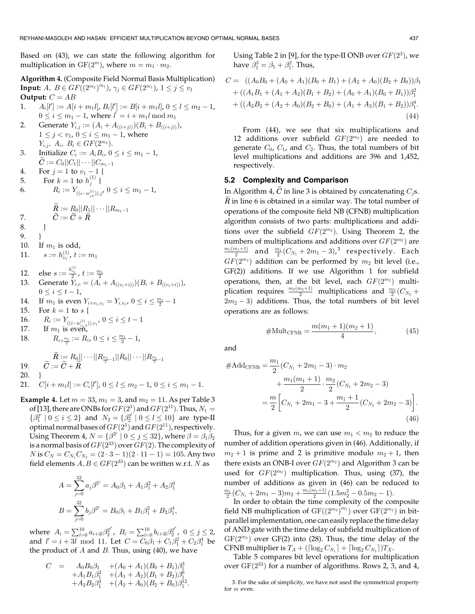Based on (43), we can state the following algorithm for multiplication in  $GF(2<sup>m</sup>)$ , where  $m = m_1 \cdot m_2$ .

Algorithm 4. (Composite Field Normal Basis Multiplication) Input:  $A, B \in GF((2^{m_2})^{m_1}), \gamma_j \in GF(2^{m_1}), 1 \leq j \leq v_1$ Output:  $C = AB$ 

- 1.  $A_i[l'] := A[i + m_1 l], B_i[l'] := B[i + m_1 l], 0 \le l \le m_2 1,$  $0 \le i \le m_1 - 1$ , where  $l' = i + m_1 l \bmod m_1$
- 2. Generate  $Y_{i,j} := (A_i + A_{((i+j))})(B_i + B_{((i+j))})$ ,  $1 \leq j < v_1, 0 \leq i \leq m_1 - 1$ , where  $Y_{i,j}, A_i, B_i \in GF(2^{m_2}).$
- 3. Initialize  $C_i := A_i B_i$ ,  $0 \le i \le m_1 1$ ,  $C := C_0 ||C_1|| \cdots ||C_{m_1-1}$
- 4. For  $j = 1$  to  $v_1 1$  {
- 5. For  $k = 1$  to  $h_j^{(1)}$  {

6. 
$$
R_i := Y_{((i-w_{j,k}^{(1)})),j'} 0 \leq i \leq m_1 - 1,
$$

$$
\widetilde{R}:=R_0||R_1||\cdots||R_{m_1-1}
$$

7. 
$$
\widetilde{C} := \widetilde{C} + \widetilde{R}
$$

- 8. }
- 9. }
- 10. If  $m_1$  is odd,
- 11.  $s := h_{v_1}^{(1)}$ ,  $t := m_1$
- 
- 12. else  $s := \frac{h_{v_1}^{(1)}}{2}$ ,  $t := \frac{m_1}{2}$ <br>13. Generate  $Y_{i,v} = (A_i + A_{((v_1+i))})(B_i + B_{((v_1+i))})$ ,  $0 \leq i \leq t-1$ ,
- 14. If  $m_1$  is even  $Y_{i+v_1,v_1} = Y_{i,v_1}$ ,  $0 \le i \le \frac{m_1}{2} 1$
- 15. For  $k = 1$  to  $s \{$
- 16.  $R_i := Y_{((i-w_{i,k}^{(1)})) , v_1}$ ,  $0 \le i \le t-1$
- 17. If  $m_1$  is even,
- 18.  $R_{i+\frac{m_1}{2}} := R_i$ ,  $0 \leq i \leq \frac{m_1}{2} 1$ ,
- 19.  $\widetilde{C} := \widetilde{C} + \widetilde{R}$ <br>19.  $\widetilde{C} := \widetilde{C} + \widetilde{R}$
- 20. }
- 21.  $C[i + m_1] := C_i[l']$ ,  $0 \le l \le m_2 1$ ,  $0 \le i \le m_1 1$ .

**Example 4.** Let  $m = 33$ ,  $m_1 = 3$ , and  $m_2 = 11$ . As per Table 3 of [13], there are ONBs for  $GF(2^3)$  and  $GF(2^{11})$ . Thus,  $N_1 =$  $\{\beta_1^{2^i} \mid 0 \le i \le 2\}$  and  $N_2 = \{\beta_2^{2^i} \mid 0 \le l \le 10\}$  are type-II optimal normal bases of  $GF(2^3)$  and  $GF(2^{11})$ , respectively. Using Theorem 4,  $N = \{ \beta^{2^j} \mid 0 \le j \le 32 \}$ , where  $\beta = \beta_1 \beta_2$ is a normal basis of  $GF(2^{33})$  over  $GF(2)$ . The complexity of *N* is  $C_N = C_{N_1}C_{N_2} = (2 \cdot 3 - 1)(2 \cdot 11 - 1) = 105$ . Any two field elements  $A, B \in GF(2^{33})$  can be written w.r.t. N as

$$
A = \sum_{j=0}^{32} a_j \beta^{2^j} = A_0 \beta_1 + A_1 \beta_1^2 + A_2 \beta_1^4
$$
  

$$
B = \sum_{j=0}^{32} b_j \beta^{2^j} = B_0 \beta_1 + B_1 \beta_1^2 + B_2 \beta_1^4,
$$

where  $A_i = \sum_{l=0}^{10} a_{i+3l} \beta_2^{2^{l'}}$ ,  $B_i = \sum_{l=0}^{10} b_{i+3l} \beta_2^{2^{l'}}$ ,  $0 \le j \le 2$ , and  $l' = i + 3l \mod 11$ . Let  $C = C_0 \beta_1 + C_1 \beta_1^2 + C_2 \beta_1^4$  be the product of  $A$  and  $B$ . Thus, using (40), we have

$$
C = A_0 B_0 \beta_1 + (A_0 + A_1)(B_0 + B_1) \beta_1^3
$$
  
+  $A_1 B_1 \beta_1^2 + (A_1 + A_2)(B_1 + B_2) \beta_1^6$   
+  $A_2 B_2 \beta_1^4 + (A_2 + A_0)(B_2 + B_0) \beta_1^{12}$ .

Using Table 2 in [9], for the type-II ONB over  $GF(2^3)$ , we have  $\beta_1^3 = \beta_1 + \beta_1^2$ . Thus,

$$
C = ((A_0B_0 + (A_0 + A_1)(B_0 + B_1) + (A_2 + A_0)(B_2 + B_0))\beta_1
$$
  
+ 
$$
((A_1B_1 + (A_1 + A_2)(B_1 + B_2) + (A_0 + A_1)(B_0 + B_1))\beta_1^2
$$
  
+ 
$$
((A_2B_2 + (A_2 + A_0)(B_2 + B_0) + (A_1 + A_2)(B_1 + B_2))\beta_1^4.
$$
  
(44)

From (44), we see that six multiplications and 12 additions over subfield  $GF(2^{m_2})$  are needed to generate  $C_0$ ,  $C_1$ , and  $C_2$ . Thus, the total numbers of bit level multiplications and additions are 396 and 1,452, respectively.

# 5.2 Complexity and Comparison

In Algorithm 4,  $\tilde{C}$  in line 3 is obtained by concatenating  $C_i$ s.  $R$  in line 6 is obtained in a similar way. The total number of operations of the composite field NB (CFNB) multiplication algorithm consists of two parts: multiplications and additions over the subfield  $GF(2^{m_2})$ . Using Theorem 2, the numbers of multiplications and additions over  $GF(2^{m_2})$  are  $\frac{m_1(m_1+1)}{2}$  and  $\frac{m_1}{2}(C_{N_1}+2m_1-3),^3$  respectively. Each  $GF(2^{m_2})$  addition can be performed by  $m_2$  bit level (i.e., GF(2)) additions. If we use Algorithm 1 for subfield operations, then, at the bit level, each  $GF(2^{m_2})$  multiplication requires  $\frac{m_2(m_2+1)}{2}$  multiplications and  $\frac{m_2}{2}(C_{N_2} +$  $2m<sub>2</sub> - 3$ ) additions. Thus, the total numbers of bit level operations are as follows:

$$
\# \text{Mult}_{\text{CFNB}} = \frac{m(m_1 + 1)(m_2 + 1)}{4},\tag{45}
$$

and

$$
#Add_{CFNB} = \frac{m_1}{2} (C_{N_1} + 2m_1 - 3) \cdot m_2
$$

$$
+ \frac{m_1(m_1 + 1)}{2} \cdot \frac{m_2}{2} (C_{N_2} + 2m_2 - 3)
$$

$$
= \frac{m}{2} \left[ C_{N_1} + 2m_1 - 3 + \frac{m_1 + 1}{2} (C_{N_2} + 2m_2 - 3) \right].
$$
(46)

Thus, for a given m, we can use  $m_1 < m_2$  to reduce the number of addition operations given in (46). Additionally, if  $m_2 + 1$  is prime and 2 is primitive modulo  $m_2 + 1$ , then there exists an ONB-I over  $GF(2^{m_2})$  and Algorithm 3 can be used for  $GF(2^{m_2})$  multiplication. Thus, using (37), the number of additions as given in (46) can be reduced to  $\frac{m_1}{2}(C_{N_1}+2m_1-3)m_2+\frac{m_1(m_1+1)}{2}(1.5m_2^2-0.5m_2-1).$ 

In order to obtain the time complexity of the composite field NB multiplication of  $GF((2^{m_2})^{m_1})$  over  $GF(2^{m_2})$  in bitparallel implementation, one can easily replace the time delay of AND gate with the time delay of subfield multiplication of  $GF(2^{m_2})$  over GF(2) into (28). Thus, the time delay of the CFNB multiplier is  $T_A + (\lceil \log_2 C_{N_1} \rceil + \lceil \log_2 C_{N_2} \rceil) T_X$ .

Table 5 compares bit level operations for multiplication over  $GF(2^{33})$  for a number of algorithms. Rows 2, 3, and 4,

<sup>3.</sup> For the sake of simplicity, we have not used the symmetrical property for m even.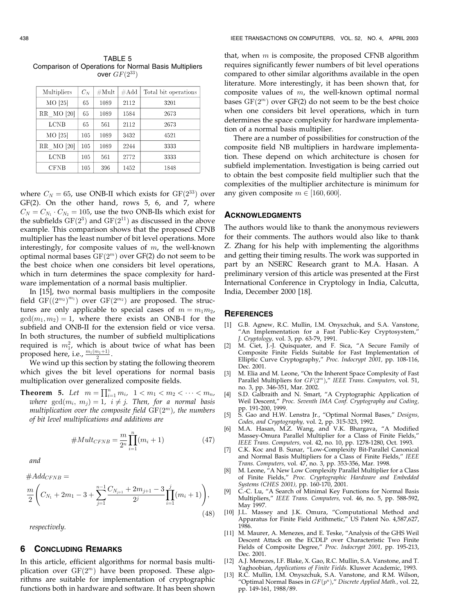TABLE 5 Comparison of Operations for Normal Basis Multipliers over  $GF(2^{33})$ 

| Multipliers | $C_N$   | $\#\mathrm{Mult}$ | $\#Add$ | Total bit operations |
|-------------|---------|-------------------|---------|----------------------|
| MO [25]     | 65      | 1089              | 2112    | 3201                 |
| RR MO [20]  | 65      | 1089              | 1584    | 2673                 |
| LCNB        | 65      | 561               | 2112    | 2673                 |
| MO [25]     | 105     | 1089              | 3432    | 4521                 |
| RR MO [20]  | 105     | 1089              | 2244    | 3333                 |
| LCNB        | 105     | 561               | 2772    | 3333                 |
| <b>CFNB</b> | $105\,$ | 396               | 1452    | 1848                 |

where  $C_N = 65$ , use ONB-II which exists for  $GF(2^{33})$  over GF(2). On the other hand, rows 5, 6, and 7, where  $C_N = C_{N_1} \cdot C_{N_2} = 105$ , use the two ONB-IIs which exist for the subfields  $GF(2^3)$  and  $GF(2^{11})$  as discussed in the above example. This comparison shows that the proposed CFNB multiplier has the least number of bit level operations. More interestingly, for composite values of  $m$ , the well-known optimal normal bases  $GF(2<sup>m</sup>)$  over  $GF(2)$  do not seem to be the best choice when one considers bit level operations, which in turn determines the space complexity for hardware implementation of a normal basis multiplier.

In [15], two normal basis multipliers in the composite field  $GF((2^{m_2})^{m_1})$  over  $GF(2^{m_2})$  are proposed. The structures are only applicable to special cases of  $m = m_1 m_2$ ,  $gcd(m_1, m_2) = 1$ , where there exists an ONB-I for the subfield and ONB-II for the extension field or vice versa. In both structures, the number of subfield multiplications required is  $m_1^2$ , which is about twice of what has been proposed here, i.e.,  $\frac{m_1(m_1+1)}{2}$ .

We wind up this section by stating the following theorem which gives the bit level operations for normal basis multiplication over generalized composite fields.

**Theorem 5.** Let  $m = \prod_{i=1}^{n} m_i$ ,  $1 < m_1 < m_2 < \cdots < m_n$ , where  $gcd(m_i, m_j) = 1$ ,  $i \neq j$ . Then, for a normal basis multiplication over the composite field  $GF(2<sup>m</sup>)$ , the numbers of bit level multiplications and additions are

#MultCFNB <sup>¼</sup> <sup>m</sup> 2n Y<sup>n</sup> i¼1 ðmi þ 1Þ ð47Þ

and

$$
\frac{m}{2}\left(C_{N_1}+2m_1-3+\sum_{j=1}^{n-1}\frac{C_{N_{j+1}}+2m_{j+1}-3}{2^j}\prod_{i=1}^j(m_i+1)\right),\tag{48}
$$

respectively.

 $\#Add_{CFND} =$ 

# 6 CONCLUDING REMARKS

In this article, efficient algorithms for normal basis multiplication over  $GF(2<sup>m</sup>)$  have been proposed. These algorithms are suitable for implementation of cryptographic functions both in hardware and software. It has been shown

that, when  $m$  is composite, the proposed CFNB algorithm requires significantly fewer numbers of bit level operations compared to other similar algorithms available in the open literature. More interestingly, it has been shown that, for composite values of  $m$ , the well-known optimal normal bases  $GF(2<sup>m</sup>)$  over  $GF(2)$  do not seem to be the best choice when one considers bit level operations, which in turn determines the space complexity for hardware implementation of a normal basis multiplier.

There are a number of possibilities for construction of the composite field NB multipliers in hardware implementation. These depend on which architecture is chosen for subfield implementation. Investigation is being carried out to obtain the best composite field multiplier such that the complexities of the multiplier architecture is minimum for any given composite  $m \in [160, 600]$ .

# ACKNOWLEDGMENTS

The authors would like to thank the anonymous reviewers for their comments. The authors would also like to thank Z. Zhang for his help with implementing the algorithms and getting their timing results. The work was supported in part by an NSERC Research grant to M.A. Hasan. A preliminary version of this article was presented at the First International Conference in Cryptology in India, Calcutta, India, December 2000 [18].

#### **REFERENCES**

- [1] G.B. Agnew, R.C. Mullin, I.M. Onyszchuk, and S.A. Vanstone, "An Implementation for a Fast Public-Key Cryptosystem," J. Cryptology, vol. 3, pp. 63-79, 1991.
- M. Ciet, J.-J. Quisquater, and F. Sica, "A Secure Family of Composite Finite Fields Suitable for Fast Implementation of Elliptic Curve Cryptography," Proc. Indocrypt 2001, pp. 108-116, Dec. 2001.
- [3] M. Elia and M. Leone, "On the Inherent Space Complexity of Fast Parallel Multipliers for  $GF(2<sup>m</sup>)$ ," IEEE Trans. Computers, vol. 51, no. 3, pp. 346-351, Mar. 2002.
- [4] S.D. Galbraith and N. Smart, "A Cryptographic Application of Weil Descent," Proc. Seventh IMA Conf. Cryptography and Coding, pp. 191-200, 1999.
- [5] S. Gao and H.W. Lenstra Jr., "Optimal Normal Bases," Designs, Codes, and Cryptography, vol. 2, pp. 315-323, 1992.
- [6] M.A. Hasan, M.Z. Wang, and V.K. Bhargava, "A Modified Massey-Omura Parallel Multiplier for a Class of Finite Fields," IEEE Trans. Computers, vol. 42, no. 10, pp. 1278-1280, Oct. 1993.
- [7] C.K. Koc and B. Sunar, "Low-Complexity Bit-Parallel Canonical and Normal Basis Multipliers for a Class of Finite Fields," IEEE Trans. Computers, vol. 47, no. 3, pp. 353-356, Mar. 1998.
- [8] M. Leone, "A New Low Complexity Parallel Multiplier for a Class of Finite Fields," Proc. Cryptographic Hardware and Embedded Systems (CHES 2001), pp. 160-170, 2001.
- [9] C.-C. Lu, "A Search of Minimal Key Functions for Normal Basis Multipliers," IEEE Trans. Computers, vol. 46, no. 5, pp. 588-592, May 1997.
- [10] J.L. Massey and J.K. Omura, "Computational Method and Apparatus for Finite Field Arithmetic," US Patent No. 4,587,627, 1986.
- [11] M. Maurer, A. Menezes, and E. Teske, "Analysis of the GHS Weil Descent Attack on the ECDLP over Characteristic Two Finite Fields of Composite Degree," Proc. Indocrypt 2001, pp. 195-213, Dec. 2001.
- [12] A.J. Menezes, I.F. Blake, X. Gao, R.C. Mullin, S.A. Vanstone, and T. Yaghoobian, Applications of Finite Fields. Kluwer Academic, 1993.
- R.C. Mullin, I.M. Onyszchuk, S.A. Vanstone, and R.M. Wilson, "Optimal Normal Bases in  $GF(p^n)$ ," Discrete Applied Math., vol. 22, pp. 149-161, 1988/89.